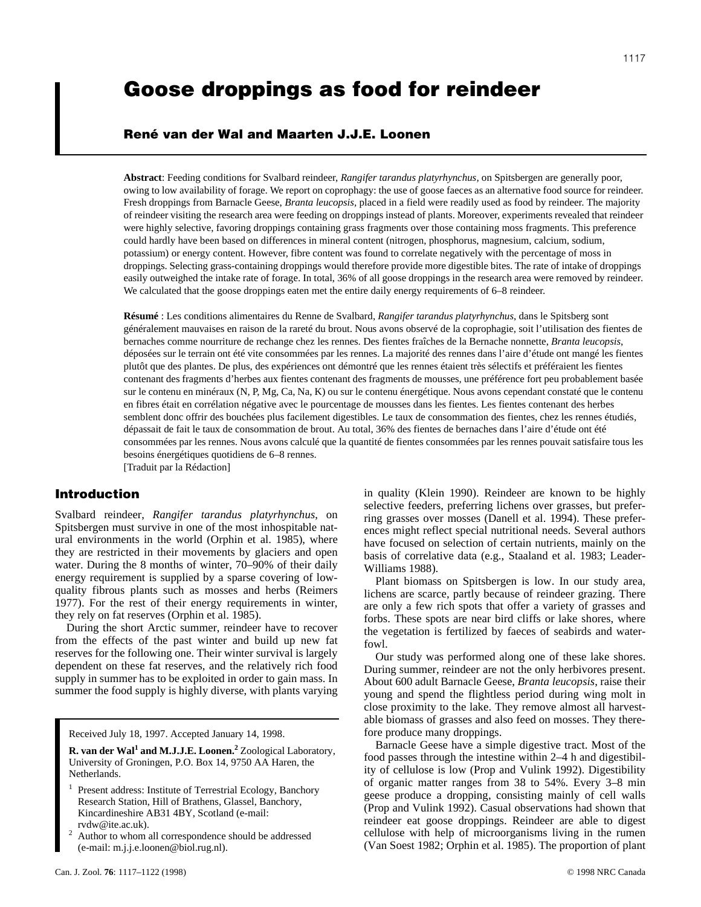# **Goose droppings as food for reindeer**

## **René van der Wal and Maarten J.J.E. Loonen**

**Abstract**: Feeding conditions for Svalbard reindeer, *Rangifer tarandus platyrhynchus,* on Spitsbergen are generally poor, owing to low availability of forage. We report on coprophagy: the use of goose faeces as an alternative food source for reindeer. Fresh droppings from Barnacle Geese, *Branta leucopsis,* placed in a field were readily used as food by reindeer. The majority of reindeer visiting the research area were feeding on droppings instead of plants. Moreover, experiments revealed that reindeer were highly selective, favoring droppings containing grass fragments over those containing moss fragments. This preference could hardly have been based on differences in mineral content (nitrogen, phosphorus, magnesium, calcium, sodium, potassium) or energy content. However, fibre content was found to correlate negatively with the percentage of moss in droppings. Selecting grass-containing droppings would therefore provide more digestible bites. The rate of intake of droppings easily outweighed the intake rate of forage. In total, 36% of all goose droppings in the research area were removed by reindeer. We calculated that the goose droppings eaten met the entire daily energy requirements of 6–8 reindeer.

**Résumé** : Les conditions alimentaires du Renne de Svalbard, *Rangifer tarandus platyrhynchus*, dans le Spitsberg sont généralement mauvaises en raison de la rareté du brout. Nous avons observé de la coprophagie, soit l'utilisation des fientes de bernaches comme nourriture de rechange chez les rennes. Des fientes fraîches de la Bernache nonnette, *Branta leucopsis*, déposées sur le terrain ont été vite consommées par les rennes. La majorité des rennes dans l'aire d'étude ont mangé les fientes plutôt que des plantes. De plus, des expériences ont démontré que les rennes étaient très sélectifs et préféraient les fientes contenant des fragments d'herbes aux fientes contenant des fragments de mousses, une préférence fort peu probablement basée sur le contenu en minéraux (N, P, Mg, Ca, Na, K) ou sur le contenu énergétique. Nous avons cependant constaté que le contenu en fibres était en corrélation négative avec le pourcentage de mousses dans les fientes. Les fientes contenant des herbes semblent donc offrir des bouchées plus facilement digestibles. Le taux de consommation des fientes, chez les rennes étudiés, dépassait de fait le taux de consommation de brout. Au total, 36% des fientes de bernaches dans l'aire d'étude ont été consommées par les rennes. Nous avons calculé que la quantité de fientes consommées par les rennes pouvait satisfaire tous les besoins énergétiques quotidiens de 6–8 rennes. [Traduit par la Rédaction]

**Introduction**

Svalbard reindeer, *Rangifer tarandus platyrhynchus*, on Spitsbergen must survive in one of the most inhospitable natural environments in the world (Orphin et al. 1985), where they are restricted in their movements by glaciers and open water. During the 8 months of winter, 70–90% of their daily energy requirement is supplied by a sparse covering of lowquality fibrous plants such as mosses and herbs (Reimers 1977). For the rest of their energy requirements in winter, they rely on fat reserves (Orphin et al. 1985).

During the short Arctic summer, reindeer have to recover from the effects of the past winter and build up new fat reserves for the following one. Their winter survival is largely dependent on these fat reserves, and the relatively rich food supply in summer has to be exploited in order to gain mass. In summer the food supply is highly diverse, with plants varying

Received July 18, 1997. Accepted January 14, 1998.

**R. van der Wal<sup>1</sup> and M.J.J.E. Loonen.<sup>2</sup>** Zoological Laboratory, University of Groningen, P.O. Box 14, 9750 AA Haren, the Netherlands.

- <sup>1</sup> Present address: Institute of Terrestrial Ecology, Banchory Research Station, Hill of Brathens, Glassel, Banchory, Kincardineshire AB31 4BY, Scotland (e-mail:
- rvdw@ite.ac.uk).<br>Author to whom all correspondence should be addressed (e-mail: m.j.j.e.loonen@biol.rug.nl).

in quality (Klein 1990). Reindeer are known to be highly selective feeders, preferring lichens over grasses, but preferring grasses over mosses (Danell et al. 1994). These preferences might reflect special nutritional needs. Several authors have focused on selection of certain nutrients, mainly on the basis of correlative data (e.g., Staaland et al. 1983; Leader-Williams 1988).

Plant biomass on Spitsbergen is low. In our study area, lichens are scarce, partly because of reindeer grazing. There are only a few rich spots that offer a variety of grasses and forbs. These spots are near bird cliffs or lake shores, where the vegetation is fertilized by faeces of seabirds and waterfowl.

Our study was performed along one of these lake shores. During summer, reindeer are not the only herbivores present. About 600 adult Barnacle Geese, *Branta leucopsis*, raise their young and spend the flightless period during wing molt in close proximity to the lake. They remove almost all harvestable biomass of grasses and also feed on mosses. They therefore produce many droppings.

Barnacle Geese have a simple digestive tract. Most of the food passes through the intestine within 2–4 h and digestibility of cellulose is low (Prop and Vulink 1992). Digestibility of organic matter ranges from 38 to 54%. Every 3–8 min geese produce a dropping, consisting mainly of cell walls (Prop and Vulink 1992). Casual observations had shown that reindeer eat goose droppings. Reindeer are able to digest cellulose with help of microorganisms living in the rumen (Van Soest 1982; Orphin et al. 1985). The proportion of plant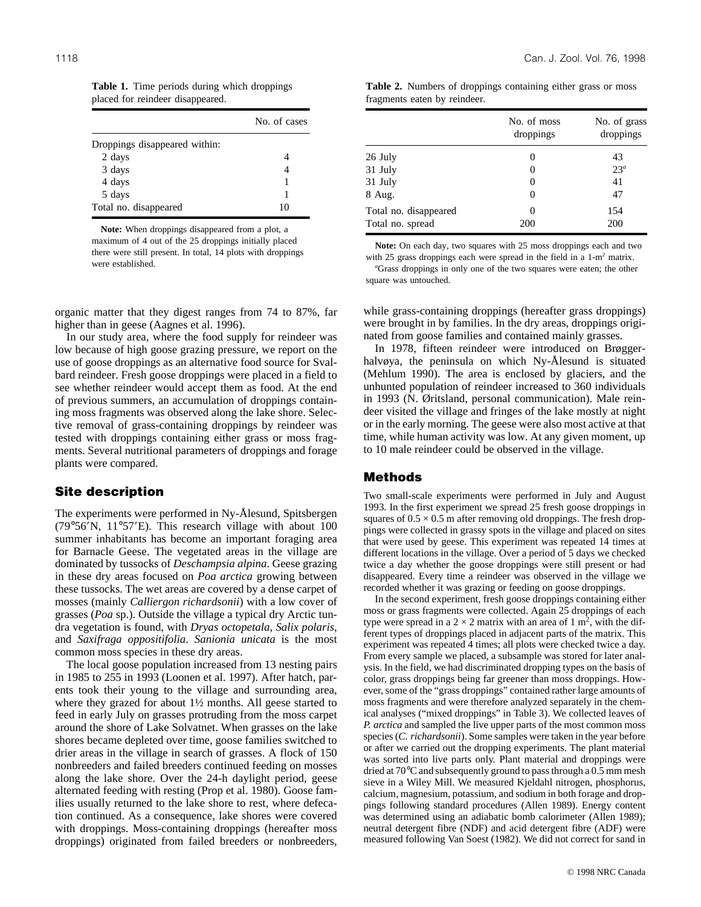**Table 1.** Time periods during which droppings placed for reindeer disappeared.

|                               | No. of cases |
|-------------------------------|--------------|
| Droppings disappeared within: |              |
| 2 days                        |              |
| 3 days                        |              |
| 4 days                        |              |
| 5 days                        |              |
| Total no. disappeared         |              |

**Note:** When droppings disappeared from a plot, a maximum of 4 out of the 25 droppings initially placed there were still present. In total, 14 plots with droppings were established.

organic matter that they digest ranges from 74 to 87%, far higher than in geese (Aagnes et al. 1996).

In our study area, where the food supply for reindeer was low because of high goose grazing pressure, we report on the use of goose droppings as an alternative food source for Svalbard reindeer. Fresh goose droppings were placed in a field to see whether reindeer would accept them as food. At the end of previous summers, an accumulation of droppings containing moss fragments was observed along the lake shore. Selective removal of grass-containing droppings by reindeer was tested with droppings containing either grass or moss fragments. Several nutritional parameters of droppings and forage plants were compared.

## **Site description**

The experiments were performed in Ny-Ålesund, Spitsbergen  $(79°56'N, 11°57'E)$ . This research village with about 100 summer inhabitants has become an important foraging area for Barnacle Geese. The vegetated areas in the village are dominated by tussocks of *Deschampsia alpina*. Geese grazing in these dry areas focused on *Poa arctica* growing between these tussocks. The wet areas are covered by a dense carpet of mosses (mainly *Calliergon richardsonii*) with a low cover of grasses (*Poa* sp.). Outside the village a typical dry Arctic tundra vegetation is found, with *Dryas octopetala*, *Salix polaris*, and *Saxifraga oppositifolia*. *Sanionia unicata* is the most common moss species in these dry areas.

The local goose population increased from 13 nesting pairs in 1985 to 255 in 1993 (Loonen et al. 1997). After hatch, parents took their young to the village and surrounding area, where they grazed for about 1½ months. All geese started to feed in early July on grasses protruding from the moss carpet around the shore of Lake Solvatnet. When grasses on the lake shores became depleted over time, goose families switched to drier areas in the village in search of grasses. A flock of 150 nonbreeders and failed breeders continued feeding on mosses along the lake shore. Over the 24-h daylight period, geese alternated feeding with resting (Prop et al. 1980). Goose families usually returned to the lake shore to rest, where defecation continued. As a consequence, lake shores were covered with droppings. Moss-containing droppings (hereafter moss droppings) originated from failed breeders or nonbreeders,

**Table 2.** Numbers of droppings containing either grass or moss fragments eaten by reindeer.

|                                           | No. of moss<br>droppings | No. of grass<br>droppings |
|-------------------------------------------|--------------------------|---------------------------|
| 26 July                                   | $\theta$                 | 43                        |
| 31 July                                   | $\theta$                 | $23^{\circ}$              |
| 31 July                                   | 0                        | 41                        |
| $8$ Aug.                                  | $\theta$                 | 47                        |
| Total no. disappeared<br>Total no. spread | 0<br>200                 | 154<br>200                |

**Note:** On each day, two squares with 25 moss droppings each and two with 25 grass droppings each were spread in the field in a  $1-m^2$  matrix.

*a* Grass droppings in only one of the two squares were eaten; the other square was untouched.

while grass-containing droppings (hereafter grass droppings) were brought in by families. In the dry areas, droppings originated from goose families and contained mainly grasses.

In 1978, fifteen reindeer were introduced on Brøggerhalvøya, the peninsula on which Ny-Ålesund is situated (Mehlum 1990). The area is enclosed by glaciers, and the unhunted population of reindeer increased to 360 individuals in 1993 (N. Øritsland, personal communication). Male reindeer visited the village and fringes of the lake mostly at night or in the early morning. The geese were also most active at that time, while human activity was low. At any given moment, up to 10 male reindeer could be observed in the village.

## **Methods**

Two small-scale experiments were performed in July and August 1993. In the first experiment we spread 25 fresh goose droppings in squares of  $0.5 \times 0.5$  m after removing old droppings. The fresh droppings were collected in grassy spots in the village and placed on sites that were used by geese. This experiment was repeated 14 times at different locations in the village. Over a period of 5 days we checked twice a day whether the goose droppings were still present or had disappeared. Every time a reindeer was observed in the village we recorded whether it was grazing or feeding on goose droppings.

In the second experiment, fresh goose droppings containing either moss or grass fragments were collected. Again 25 droppings of each type were spread in a  $2 \times 2$  matrix with an area of 1 m<sup>2</sup>, with the different types of droppings placed in adjacent parts of the matrix. This experiment was repeated 4 times; all plots were checked twice a day. From every sample we placed, a subsample was stored for later analysis. In the field, we had discriminated dropping types on the basis of color, grass droppings being far greener than moss droppings. However, some of the "grass droppings" contained rather large amounts of moss fragments and were therefore analyzed separately in the chemical analyses ("mixed droppings" in Table 3). We collected leaves of *P. arctica* and sampled the live upper parts of the most common moss species (*C. richardsonii*). Some samples were taken in the year before or after we carried out the dropping experiments. The plant material was sorted into live parts only. Plant material and droppings were dried at 70°C and subsequently ground to pass through a 0.5 mm mesh sieve in a Wiley Mill. We measured Kjeldahl nitrogen, phosphorus, calcium, magnesium, potassium, and sodium in both forage and droppings following standard procedures (Allen 1989). Energy content was determined using an adiabatic bomb calorimeter (Allen 1989); neutral detergent fibre (NDF) and acid detergent fibre (ADF) were measured following Van Soest (1982). We did not correct for sand in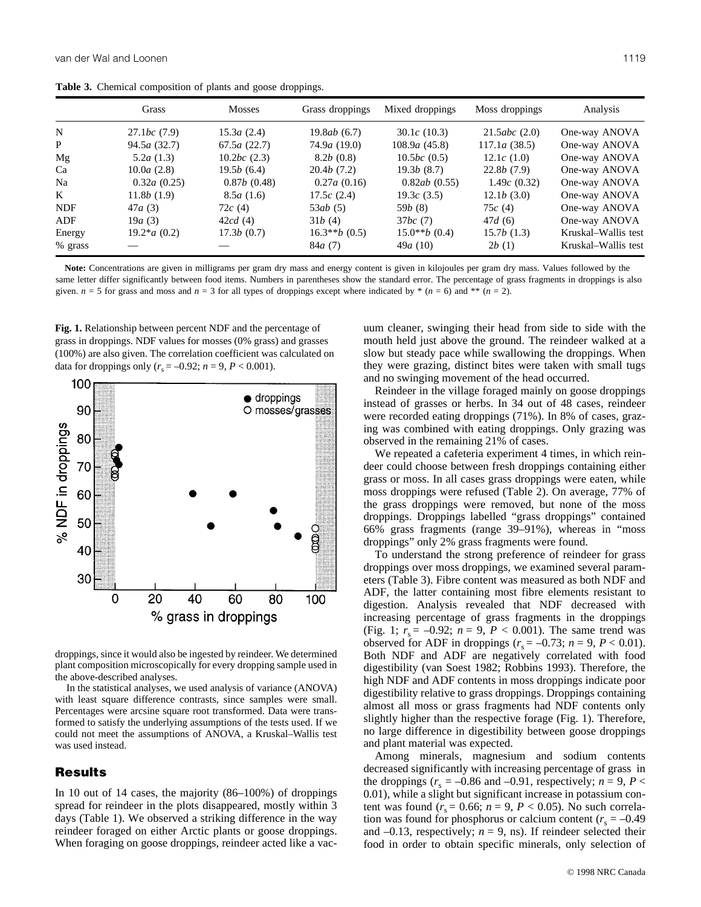**Table 3.** Chemical composition of plants and goose droppings.

|            | Grass          | <b>Mosses</b> | Grass droppings    | Mixed droppings | Moss droppings | Analysis            |
|------------|----------------|---------------|--------------------|-----------------|----------------|---------------------|
| N          | 27.1bc(7.9)    | 15.3a(2.4)    | 19.8ab(6.7)        | 30.1c(10.3)     | 21.5abc(2.0)   | One-way ANOVA       |
| P          | 94.5a(32.7)    | 67.5a(22.7)   | 74.9a(19.0)        | 108.9a(45.8)    | 117.1a(38.5)   | One-way ANOVA       |
| Mg         | 5.2a $(1.3)$   | 10.2bc(2.3)   | 8.2b(0.8)          | 10.5bc(0.5)     | 12.1c(1.0)     | One-way ANOVA       |
| Ca         | 10.0a(2.8)     | 19.5b(6.4)    | 20.4b(7.2)         | 19.3b(8.7)      | 22.8b(7.9)     | One-way ANOVA       |
| Na         | 0.32a(0.25)    | 0.87b(0.48)   | 0.27a(0.16)        | 0.82ab(0.55)    | 1.49c(0.32)    | One-way ANOVA       |
| $K_{\rm}$  | 11.8b(1.9)     | 8.5a(1.6)     | 17.5c(2.4)         | 19.3c(3.5)      | 12.1b(3.0)     | One-way ANOVA       |
| <b>NDF</b> | 47a(3)         | 72 $c(4)$     | 53 <i>ab</i> $(5)$ | 59 $b(8)$       | 75 $c(4)$      | One-way ANOVA       |
| ADF        | 19a(3)         | 42cd(4)       | 31b(4)             | 37bc(7)         | 47d(6)         | One-way ANOVA       |
| Energy     | $19.2^*a(0.2)$ | 17.3b(0.7)    | $16.3**b(0.5)$     | $15.0**b(0.4)$  | 15.7b(1.3)     | Kruskal–Wallis test |
| $%$ grass  |                |               | 84a(7)             | 49a(10)         | 2b(1)          | Kruskal–Wallis test |

**Note:** Concentrations are given in milligrams per gram dry mass and energy content is given in kilojoules per gram dry mass. Values followed by the same letter differ significantly between food items. Numbers in parentheses show the standard error. The percentage of grass fragments in droppings is also given.  $n = 5$  for grass and moss and  $n = 3$  for all types of droppings except where indicated by  $*(n = 6)$  and  $** (n = 2)$ .

**Fig. 1.** Relationship between percent NDF and the percentage of grass in droppings. NDF values for mosses (0% grass) and grasses (100%) are also given. The correlation coefficient was calculated on data for droppings only  $(r_s = -0.92; n = 9, P < 0.001)$ .



droppings, since it would also be ingested by reindeer. We determined plant composition microscopically for every dropping sample used in the above-described analyses.

In the statistical analyses, we used analysis of variance (ANOVA) with least square difference contrasts, since samples were small. Percentages were arcsine square root transformed. Data were transformed to satisfy the underlying assumptions of the tests used. If we could not meet the assumptions of ANOVA, a Kruskal–Wallis test was used instead.

## **Results**

In 10 out of 14 cases, the majority (86–100%) of droppings spread for reindeer in the plots disappeared, mostly within 3 days (Table 1). We observed a striking difference in the way reindeer foraged on either Arctic plants or goose droppings. When foraging on goose droppings, reindeer acted like a vacuum cleaner, swinging their head from side to side with the mouth held just above the ground. The reindeer walked at a slow but steady pace while swallowing the droppings. When they were grazing, distinct bites were taken with small tugs and no swinging movement of the head occurred.

Reindeer in the village foraged mainly on goose droppings instead of grasses or herbs. In 34 out of 48 cases, reindeer were recorded eating droppings (71%). In 8% of cases, grazing was combined with eating droppings. Only grazing was observed in the remaining 21% of cases.

We repeated a cafeteria experiment 4 times, in which reindeer could choose between fresh droppings containing either grass or moss. In all cases grass droppings were eaten, while moss droppings were refused (Table 2). On average, 77% of the grass droppings were removed, but none of the moss droppings. Droppings labelled "grass droppings" contained 66% grass fragments (range 39–91%), whereas in "moss droppings" only 2% grass fragments were found.

To understand the strong preference of reindeer for grass droppings over moss droppings, we examined several parameters (Table 3). Fibre content was measured as both NDF and ADF, the latter containing most fibre elements resistant to digestion. Analysis revealed that NDF decreased with increasing percentage of grass fragments in the droppings (Fig. 1;  $r_s = -0.92$ ;  $n = 9$ ,  $P < 0.001$ ). The same trend was observed for ADF in droppings  $(r_s = -0.73; n = 9, P < 0.01)$ . Both NDF and ADF are negatively correlated with food digestibility (van Soest 1982; Robbins 1993). Therefore, the high NDF and ADF contents in moss droppings indicate poor digestibility relative to grass droppings. Droppings containing almost all moss or grass fragments had NDF contents only slightly higher than the respective forage (Fig. 1). Therefore, no large difference in digestibility between goose droppings and plant material was expected.

Among minerals, magnesium and sodium contents decreased significantly with increasing percentage of grass in the droppings ( $r_s = -0.86$  and  $-0.91$ , respectively;  $n = 9$ ,  $P <$ 0.01), while a slight but significant increase in potassium content was found ( $r<sub>s</sub> = 0.66$ ;  $n = 9$ ,  $P < 0.05$ ). No such correlation was found for phosphorus or calcium content ( $r<sub>s</sub> = -0.49$ ) and  $-0.13$ , respectively;  $n = 9$ , ns). If reindeer selected their food in order to obtain specific minerals, only selection of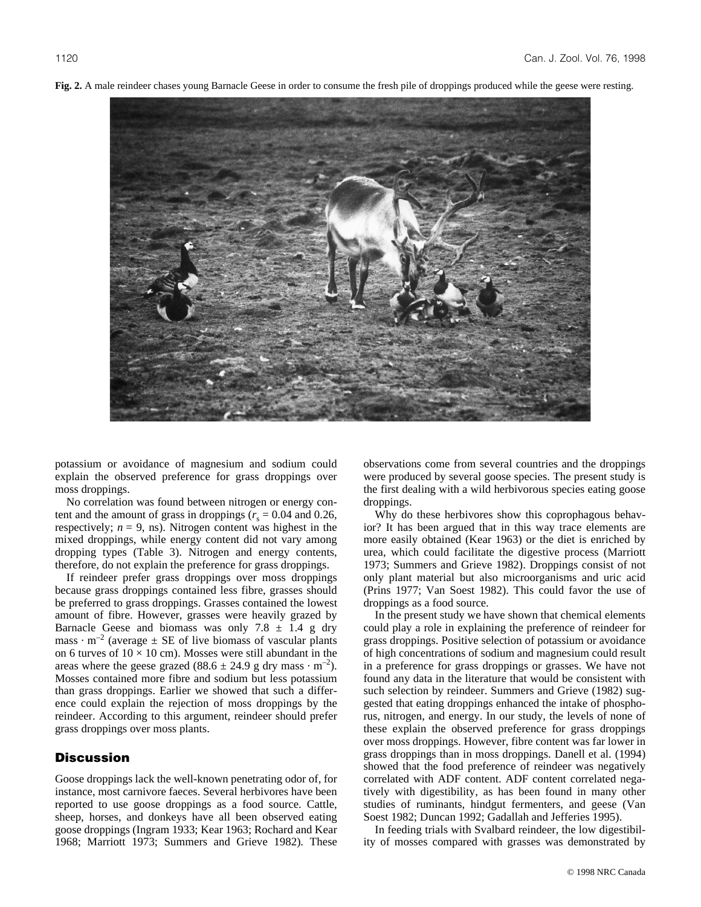

**Fig. 2.** A male reindeer chases young Barnacle Geese in order to consume the fresh pile of droppings produced while the geese were resting.

potassium or avoidance of magnesium and sodium could explain the observed preference for grass droppings over moss droppings.

No correlation was found between nitrogen or energy content and the amount of grass in droppings ( $r_s = 0.04$  and 0.26, respectively;  $n = 9$ , ns). Nitrogen content was highest in the mixed droppings, while energy content did not vary among dropping types (Table 3). Nitrogen and energy contents, therefore, do not explain the preference for grass droppings.

If reindeer prefer grass droppings over moss droppings because grass droppings contained less fibre, grasses should be preferred to grass droppings. Grasses contained the lowest amount of fibre. However, grasses were heavily grazed by Barnacle Geese and biomass was only  $7.8 \pm 1.4$  g dry mass  $\cdot$  m<sup>-2</sup> (average  $\pm$  SE of live biomass of vascular plants on 6 turves of  $10 \times 10$  cm). Mosses were still abundant in the areas where the geese grazed (88.6  $\pm$  24.9 g dry mass  $\cdot$  m<sup>-2</sup>). Mosses contained more fibre and sodium but less potassium than grass droppings. Earlier we showed that such a difference could explain the rejection of moss droppings by the reindeer. According to this argument, reindeer should prefer grass droppings over moss plants.

# **Discussion**

Goose droppings lack the well-known penetrating odor of, for instance, most carnivore faeces. Several herbivores have been reported to use goose droppings as a food source. Cattle, sheep, horses, and donkeys have all been observed eating goose droppings (Ingram 1933; Kear 1963; Rochard and Kear 1968; Marriott 1973; Summers and Grieve 1982). These observations come from several countries and the droppings were produced by several goose species. The present study is the first dealing with a wild herbivorous species eating goose droppings.

Why do these herbivores show this coprophagous behavior? It has been argued that in this way trace elements are more easily obtained (Kear 1963) or the diet is enriched by urea, which could facilitate the digestive process (Marriott 1973; Summers and Grieve 1982). Droppings consist of not only plant material but also microorganisms and uric acid (Prins 1977; Van Soest 1982). This could favor the use of droppings as a food source.

In the present study we have shown that chemical elements could play a role in explaining the preference of reindeer for grass droppings. Positive selection of potassium or avoidance of high concentrations of sodium and magnesium could result in a preference for grass droppings or grasses. We have not found any data in the literature that would be consistent with such selection by reindeer. Summers and Grieve (1982) suggested that eating droppings enhanced the intake of phosphorus, nitrogen, and energy. In our study, the levels of none of these explain the observed preference for grass droppings over moss droppings. However, fibre content was far lower in grass droppings than in moss droppings. Danell et al. (1994) showed that the food preference of reindeer was negatively correlated with ADF content. ADF content correlated negatively with digestibility, as has been found in many other studies of ruminants, hindgut fermenters, and geese (Van Soest 1982; Duncan 1992; Gadallah and Jefferies 1995).

In feeding trials with Svalbard reindeer, the low digestibility of mosses compared with grasses was demonstrated by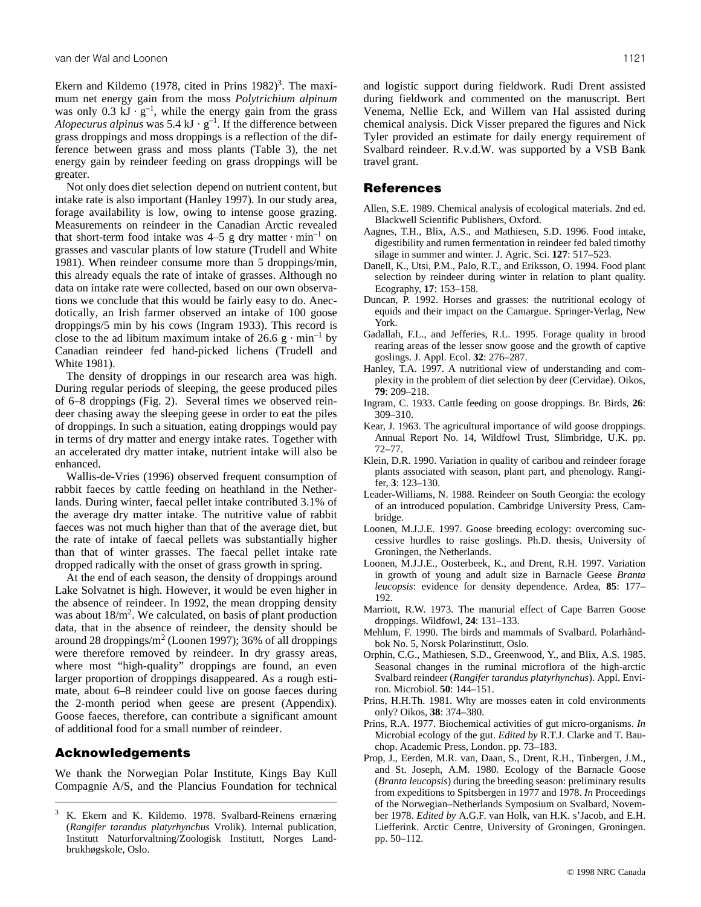Ekern and Kildemo (1978, cited in Prins 1982)<sup>3</sup>. The maximum net energy gain from the moss *Polytrichium alpinum* was only 0.3 kJ  $\cdot$  g<sup>-1</sup>, while the energy gain from the grass *Alopecurus alpinus* was 5.4 kJ  $\cdot$  g<sup>-1</sup>. If the difference between grass droppings and moss droppings is a reflection of the difference between grass and moss plants (Table 3), the net energy gain by reindeer feeding on grass droppings will be greater.

Not only does diet selection depend on nutrient content, but intake rate is also important (Hanley 1997). In our study area, forage availability is low, owing to intense goose grazing. Measurements on reindeer in the Canadian Arctic revealed that short-term food intake was  $4-5$  g dry matter  $\cdot$  min<sup>-1</sup> on grasses and vascular plants of low stature (Trudell and White 1981). When reindeer consume more than 5 droppings/min, this already equals the rate of intake of grasses. Although no data on intake rate were collected, based on our own observations we conclude that this would be fairly easy to do. Anecdotically, an Irish farmer observed an intake of 100 goose droppings/5 min by his cows (Ingram 1933). This record is close to the ad libitum maximum intake of 26.6 g  $\cdot$  min<sup>-1</sup> by Canadian reindeer fed hand-picked lichens (Trudell and White 1981).

The density of droppings in our research area was high. During regular periods of sleeping, the geese produced piles of 6–8 droppings (Fig. 2). Several times we observed reindeer chasing away the sleeping geese in order to eat the piles of droppings. In such a situation, eating droppings would pay in terms of dry matter and energy intake rates. Together with an accelerated dry matter intake, nutrient intake will also be enhanced.

Wallis-de-Vries (1996) observed frequent consumption of rabbit faeces by cattle feeding on heathland in the Netherlands. During winter, faecal pellet intake contributed 3.1% of the average dry matter intake. The nutritive value of rabbit faeces was not much higher than that of the average diet, but the rate of intake of faecal pellets was substantially higher than that of winter grasses. The faecal pellet intake rate dropped radically with the onset of grass growth in spring.

At the end of each season, the density of droppings around Lake Solvatnet is high. However, it would be even higher in the absence of reindeer. In 1992, the mean dropping density was about  $18/m^2$ . We calculated, on basis of plant production data, that in the absence of reindeer, the density should be around 28 droppings/m<sup>2</sup> (Loonen 1997); 36% of all droppings were therefore removed by reindeer. In dry grassy areas, where most "high-quality" droppings are found, an even larger proportion of droppings disappeared. As a rough estimate, about 6–8 reindeer could live on goose faeces during the 2-month period when geese are present (Appendix). Goose faeces, therefore, can contribute a significant amount of additional food for a small number of reindeer.

## **Acknowledgements**

We thank the Norwegian Polar Institute, Kings Bay Kull Compagnie A/S, and the Plancius Foundation for technical

and logistic support during fieldwork. Rudi Drent assisted during fieldwork and commented on the manuscript. Bert Venema, Nellie Eck, and Willem van Hal assisted during chemical analysis. Dick Visser prepared the figures and Nick Tyler provided an estimate for daily energy requirement of Svalbard reindeer. R.v.d.W. was supported by a VSB Bank travel grant.

## **References**

- Allen, S.E. 1989. Chemical analysis of ecological materials. 2nd ed. Blackwell Scientific Publishers, Oxford.
- Aagnes, T.H., Blix, A.S., and Mathiesen, S.D. 1996. Food intake, digestibility and rumen fermentation in reindeer fed baled timothy silage in summer and winter. J. Agric. Sci. **127**: 517–523.
- Danell, K., Utsi, P.M., Palo, R.T., and Eriksson, O. 1994. Food plant selection by reindeer during winter in relation to plant quality. Ecography, **17**: 153–158.
- Duncan, P. 1992. Horses and grasses: the nutritional ecology of equids and their impact on the Camargue. Springer-Verlag, New York.
- Gadallah, F.L., and Jefferies, R.L. 1995. Forage quality in brood rearing areas of the lesser snow goose and the growth of captive goslings. J. Appl. Ecol. **32**: 276–287.
- Hanley, T.A. 1997. A nutritional view of understanding and complexity in the problem of diet selection by deer (Cervidae). Oikos, **79**: 209–218.
- Ingram, C. 1933. Cattle feeding on goose droppings. Br. Birds, **26**: 309–310.
- Kear, J. 1963. The agricultural importance of wild goose droppings. Annual Report No. 14, Wildfowl Trust, Slimbridge, U.K. pp. 72–77.
- Klein, D.R. 1990. Variation in quality of caribou and reindeer forage plants associated with season, plant part, and phenology. Rangifer, **3**: 123–130.
- Leader-Williams, N. 1988. Reindeer on South Georgia: the ecology of an introduced population. Cambridge University Press, Cambridge.
- Loonen, M.J.J.E. 1997. Goose breeding ecology: overcoming successive hurdles to raise goslings. Ph.D. thesis, University of Groningen, the Netherlands.
- Loonen, M.J.J.E., Oosterbeek, K., and Drent, R.H. 1997. Variation in growth of young and adult size in Barnacle Geese *Branta leucopsis*: evidence for density dependence. Ardea, **85**: 177– 192.
- Marriott, R.W. 1973. The manurial effect of Cape Barren Goose droppings. Wildfowl, **24**: 131–133.
- Mehlum, F. 1990. The birds and mammals of Svalbard. Polarhåndbok No. 5, Norsk Polarinstitutt, Oslo.
- Orphin, C.G., Mathiesen, S.D., Greenwood, Y., and Blix, A.S. 1985. Seasonal changes in the ruminal microflora of the high-arctic Svalbard reindeer (*Rangifer tarandus platyrhynchus*). Appl. Environ. Microbiol. **50**: 144–151.
- Prins, H.H.Th. 1981. Why are mosses eaten in cold environments only? Oikos, **38**: 374–380.
- Prins, R.A. 1977. Biochemical activities of gut micro-organisms. *In* Microbial ecology of the gut. *Edited by* R.T.J. Clarke and T. Bauchop. Academic Press, London. pp. 73–183.
- Prop, J., Eerden, M.R. van, Daan, S., Drent, R.H., Tinbergen, J.M., and St. Joseph, A.M. 1980. Ecology of the Barnacle Goose (*Branta leucopsis*) during the breeding season: preliminary results from expeditions to Spitsbergen in 1977 and 1978. *In* Proceedings of the Norwegian–Netherlands Symposium on Svalbard, November 1978. *Edited by* A.G.F. van Holk, van H.K. s'Jacob, and E.H. Liefferink. Arctic Centre, University of Groningen, Groningen. pp. 50–112.

<sup>3</sup> K. Ekern and K. Kildemo. 1978. Svalbard-Reinens ernæring (*Rangifer tarandus platyrhynchus* Vrolik). Internal publication, Institutt Naturforvaltning/Zoologisk Institutt, Norges Landbrukhøgskole, Oslo.